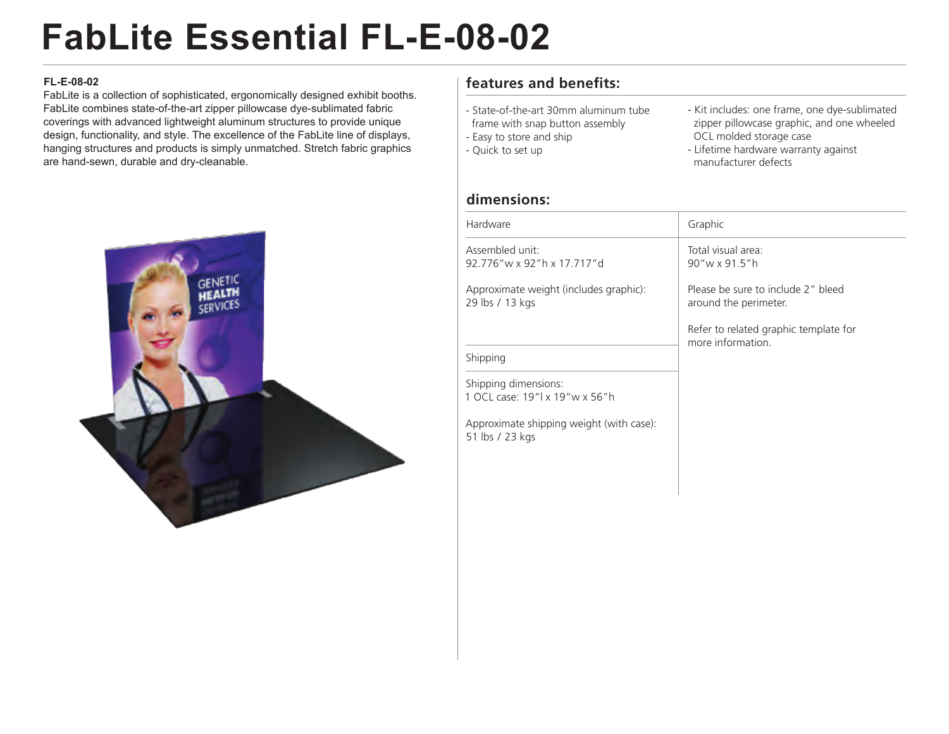# **FabLite Essential FL-E-08-02**

#### **FL-E-08-02**

FabLite is a collection of sophisticated, ergonomically designed exhibit booths. FabLite combines state-of-the-art zipper pillowcase dye-sublimated fabric coverings with advanced lightweight aluminum structures to provide unique design, functionality, and style. The excellence of the FabLite line of displays, hanging structures and products is simply unmatched. Stretch fabric graphics are hand-sewn, durable and dry-cleanable.



## **features and benefits:**

- State-of-the-art 30mm aluminum tube
- frame with snap button assembly
- Easy to store and ship
- Quick to set up
- Kit includes: one frame, one dye-sublimated zipper pillowcase graphic, and one wheeled OCL molded storage case
- Lifetime hardware warranty against manufacturer defects

### **dimensions:**

| Hardware                                                  | Graphic                                                     |
|-----------------------------------------------------------|-------------------------------------------------------------|
| Assembled unit:<br>92 776" w x 92" h x 17 717" d          | Total visual area:<br>90"w x 91.5"h                         |
| Approximate weight (includes graphic):<br>29 lbs / 13 kgs | Please be sure to include 2" bleed<br>around the perimeter. |
|                                                           | Refer to related graphic template for<br>more information   |
| Shipping                                                  |                                                             |
| Shipping dimensions:<br>1 OCL case: 19"l x 19"w x 56"h    |                                                             |

Approximate shipping weight (with case): 51 lbs / 23 kgs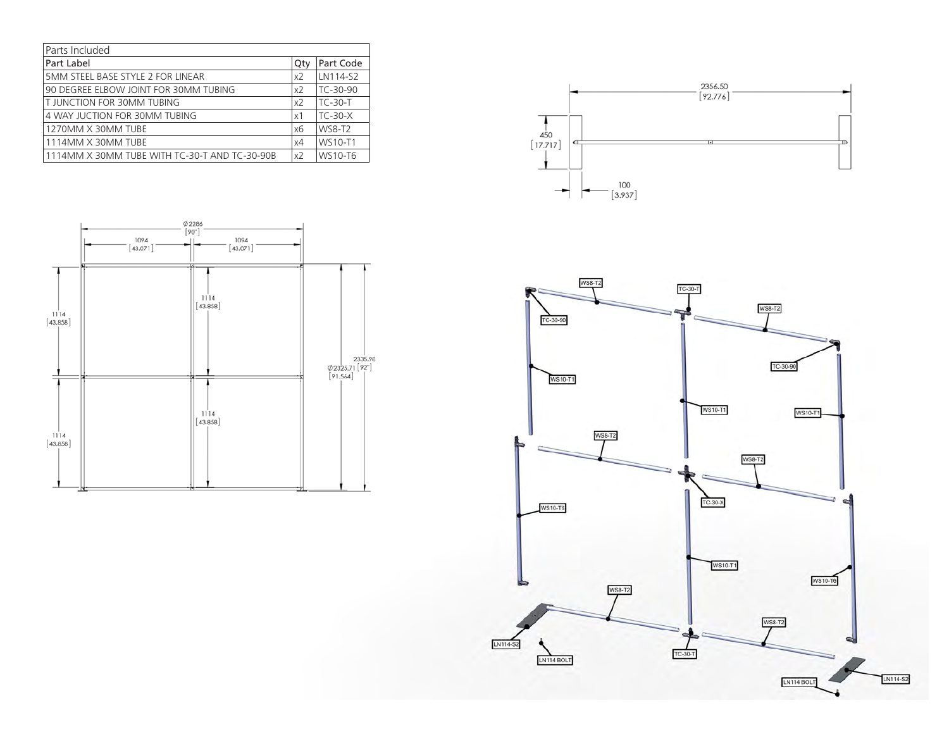| Parts Included                                |                |                |
|-----------------------------------------------|----------------|----------------|
| Part Label                                    | Qty            | Part Code      |
| 5MM STEEL BASE STYLE 2 FOR LINEAR             | x2             | LN114-S2       |
| 90 DEGREE ELBOW JOINT FOR 30MM TUBING         | x <sub>2</sub> | TC-30-90       |
| T JUNCTION FOR 30MM TUBING                    | x <sub>2</sub> | <b>TC-30-T</b> |
| 4 WAY JUCTION FOR 30MM TUBING                 | $\times$ 1     | $TC-30-X$      |
| 1270MM X 30MM TUBE                            | x6             | <b>WS8-T2</b>  |
| 1114MM X 30MM TUBE                            | x4             | WS10-T1        |
| 1114MM X 30MM TUBE WITH TC-30-T AND TC-30-90B | x2             | WS10-T6        |